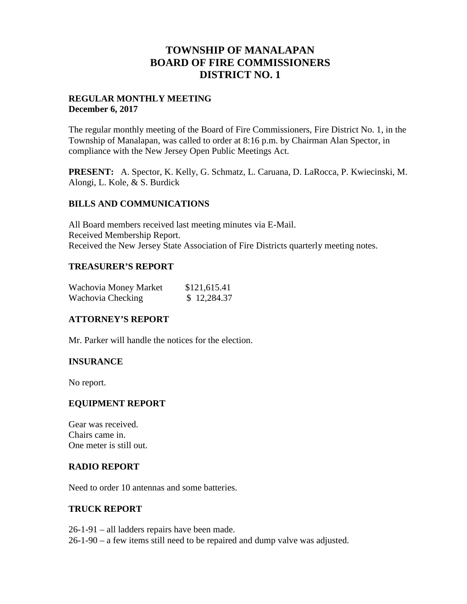# **TOWNSHIP OF MANALAPAN BOARD OF FIRE COMMISSIONERS DISTRICT NO. 1**

### **REGULAR MONTHLY MEETING December 6, 2017**

The regular monthly meeting of the Board of Fire Commissioners, Fire District No. 1, in the Township of Manalapan, was called to order at 8:16 p.m. by Chairman Alan Spector, in compliance with the New Jersey Open Public Meetings Act.

**PRESENT:** A. Spector, K. Kelly, G. Schmatz, L. Caruana, D. LaRocca, P. Kwiecinski, M. Alongi, L. Kole, & S. Burdick

### **BILLS AND COMMUNICATIONS**

All Board members received last meeting minutes via E-Mail. Received Membership Report. Received the New Jersey State Association of Fire Districts quarterly meeting notes.

## **TREASURER'S REPORT**

| Wachovia Money Market | \$121,615.41 |
|-----------------------|--------------|
| Wachovia Checking     | \$12,284.37  |

## **ATTORNEY'S REPORT**

Mr. Parker will handle the notices for the election.

### **INSURANCE**

No report.

### **EQUIPMENT REPORT**

Gear was received. Chairs came in. One meter is still out.

### **RADIO REPORT**

Need to order 10 antennas and some batteries.

### **TRUCK REPORT**

26-1-91 – all ladders repairs have been made. 26-1-90 – a few items still need to be repaired and dump valve was adjusted.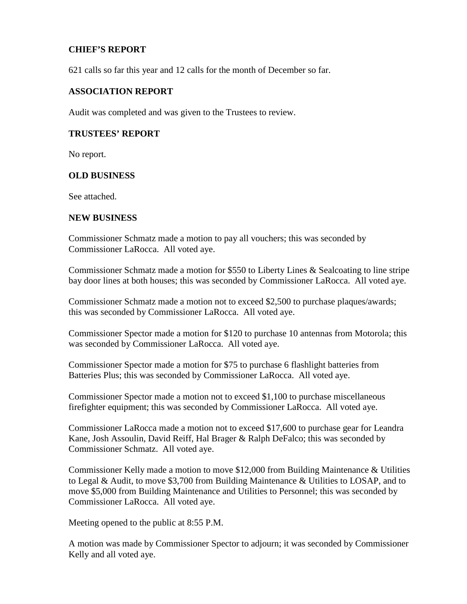## **CHIEF'S REPORT**

621 calls so far this year and 12 calls for the month of December so far.

#### **ASSOCIATION REPORT**

Audit was completed and was given to the Trustees to review.

#### **TRUSTEES' REPORT**

No report.

#### **OLD BUSINESS**

See attached.

#### **NEW BUSINESS**

Commissioner Schmatz made a motion to pay all vouchers; this was seconded by Commissioner LaRocca. All voted aye.

Commissioner Schmatz made a motion for \$550 to Liberty Lines & Sealcoating to line stripe bay door lines at both houses; this was seconded by Commissioner LaRocca. All voted aye.

Commissioner Schmatz made a motion not to exceed \$2,500 to purchase plaques/awards; this was seconded by Commissioner LaRocca. All voted aye.

Commissioner Spector made a motion for \$120 to purchase 10 antennas from Motorola; this was seconded by Commissioner LaRocca. All voted aye.

Commissioner Spector made a motion for \$75 to purchase 6 flashlight batteries from Batteries Plus; this was seconded by Commissioner LaRocca. All voted aye.

Commissioner Spector made a motion not to exceed \$1,100 to purchase miscellaneous firefighter equipment; this was seconded by Commissioner LaRocca. All voted aye.

Commissioner LaRocca made a motion not to exceed \$17,600 to purchase gear for Leandra Kane, Josh Assoulin, David Reiff, Hal Brager & Ralph DeFalco; this was seconded by Commissioner Schmatz. All voted aye.

Commissioner Kelly made a motion to move \$12,000 from Building Maintenance & Utilities to Legal & Audit, to move \$3,700 from Building Maintenance & Utilities to LOSAP, and to move \$5,000 from Building Maintenance and Utilities to Personnel; this was seconded by Commissioner LaRocca. All voted aye.

Meeting opened to the public at 8:55 P.M.

A motion was made by Commissioner Spector to adjourn; it was seconded by Commissioner Kelly and all voted aye.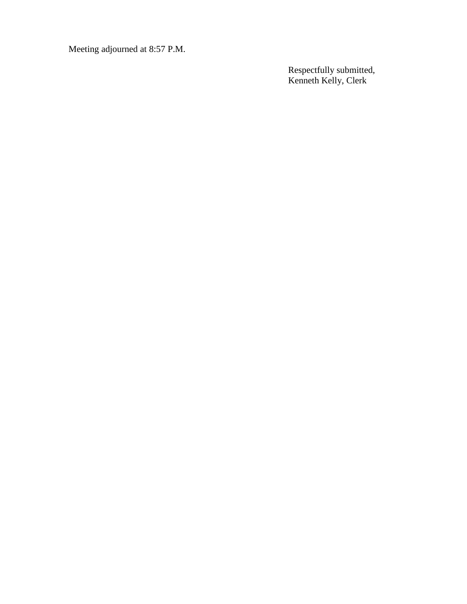Meeting adjourned at 8:57 P.M.

Respectfully submitted, Kenneth Kelly, Clerk